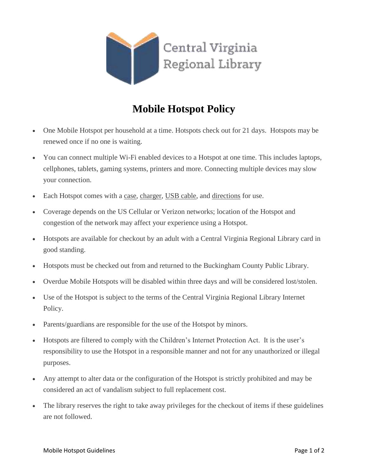

## **Mobile Hotspot Policy**

- One Mobile Hotspot per household at a time. Hotspots check out for 21 days. Hotspots may be renewed once if no one is waiting.
- You can connect multiple Wi-Fi enabled devices to a Hotspot at one time. This includes laptops, cellphones, tablets, gaming systems, printers and more. Connecting multiple devices may slow your connection.
- Each Hotspot comes with a case, charger, USB cable, and directions for use.
- Coverage depends on the US Cellular or Verizon networks; location of the Hotspot and congestion of the network may affect your experience using a Hotspot.
- Hotspots are available for checkout by an adult with a Central Virginia Regional Library card in good standing.
- Hotspots must be checked out from and returned to the Buckingham County Public Library.
- Overdue Mobile Hotspots will be disabled within three days and will be considered lost/stolen.
- Use of the Hotspot is subject to the terms of the Central Virginia Regional Library Internet Policy.
- Parents/guardians are responsible for the use of the Hotspot by minors.
- Hotspots are filtered to comply with the Children's Internet Protection Act. It is the user's responsibility to use the Hotspot in a responsible manner and not for any unauthorized or illegal purposes.
- Any attempt to alter data or the configuration of the Hotspot is strictly prohibited and may be considered an act of vandalism subject to full replacement cost.
- The library reserves the right to take away privileges for the checkout of items if these guidelines are not followed.